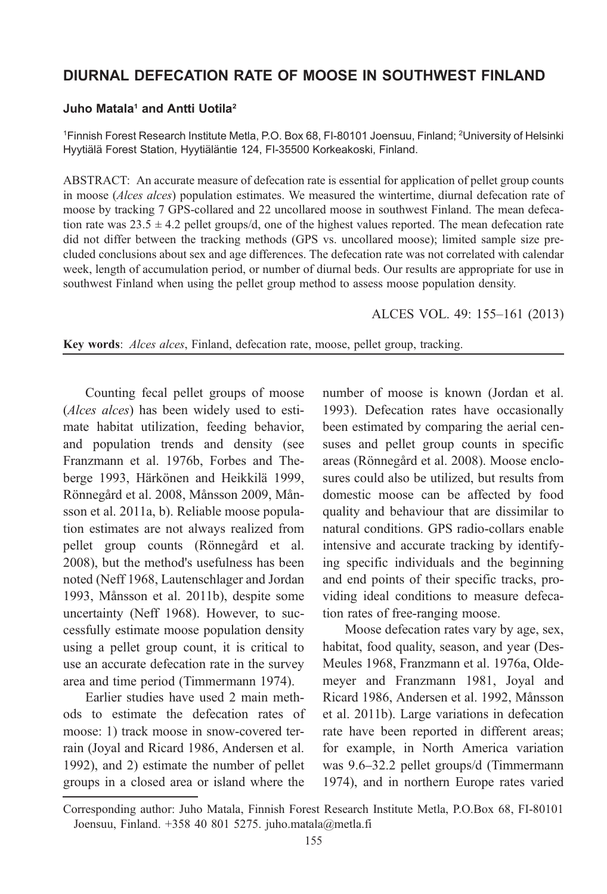## DIURNAL DEFECATION RATE OF MOOSE IN SOUTHWEST FINLAND

#### Juho Matala<sup>1</sup> and Antti Uotila<sup>2</sup>

1 Finnish Forest Research Institute Metla, P.O. Box 68, FI-80101 Joensuu, Finland; <sup>2</sup> University of Helsinki Hyytiälä Forest Station, Hyytiäläntie 124, FI-35500 Korkeakoski, Finland.

ABSTRACT: An accurate measure of defecation rate is essential for application of pellet group counts in moose (*Alces alces*) population estimates. We measured the wintertime, diurnal defecation rate of moose by tracking 7 GPS-collared and 22 uncollared moose in southwest Finland. The mean defecation rate was  $23.5 \pm 4.2$  pellet groups/d, one of the highest values reported. The mean defecation rate did not differ between the tracking methods (GPS vs. uncollared moose); limited sample size precluded conclusions about sex and age differences. The defecation rate was not correlated with calendar week, length of accumulation period, or number of diurnal beds. Our results are appropriate for use in southwest Finland when using the pellet group method to assess moose population density.

#### ALCES VOL. 49: 155–[161](#page-5-0) [\(2013\)](#page-5-0)

Key words: Alces alces, Finland, defecation rate, moose, pellet group, tracking.

[Countin](#page-5-0)g [fecal pellet groups of moose](#page-5-0) ([Alces alces](#page-6-0)) has been [widely used to esti](#page-5-0)[mate habitat utiliz](#page-5-0)ation, feeding behavior, and population trends and density (see Franzmann et al. 1976[b, Forbes and The](#page-6-0)[berge](#page-6-0) 1993, Härkönen and Heikkilä 1999, Rönne[gård et al.](#page-5-0) [2008, Månsson 2009, Mån](#page-5-0)[sson](#page-5-0) e[t al. 2011a, b\). Reliable](#page-5-0) moose population estimate[s are not a](#page-5-0)lways realized from pellet group counts (Rönnegård et al. 2008), but the method's usefulness has been noted (Neff 1968, Lautenschlager and Jordan 1993, Månsson et al. [2011b\), despite so](#page-6-0)me uncertainty (Neff 1968). However, to successfully estimate moose population density using a pellet group count, it is critical to use a[n accurate defecation rate in the survey](#page-5-0) [area a](#page-5-0)nd time period (Timmermann 1974).

Earlier studies have used 2 main methods to estimate the defecation rates of moose: 1) track moose in snow-covered terrain (Joyal and Ricard 1986, Andersen et al. 1992), and 2) estimate the number of pellet groups in a closed area or island where the

number of moose is known (Jordan et al. 1993). Defecation rates have occasionally been estimated by comparing the aerial censuses and pellet group counts in specific areas (Rönnegård et al. 2008). Moose enclosures could also be utilized, but results from domestic moose can be affected by food quality and behaviour that are dissimilar to natural conditions. GPS radio-collars enable intensive and accurate tracking by identifying specific individuals and the begi[nning](#page-5-0) [and end poin](#page-5-0)t[s of their specific track](#page-5-0)s[, pro](#page-5-0)[viding ideal conditions to mea](#page-5-0)s[ure defeca](#page-5-0)[tion rates of](#page-5-0) [free-ranging moose.](#page-5-0)

[Moose d](#page-5-0)efecation rates vary by age, sex, habitat, food quality, season, and year (Des-Meules 1968, Franzmann et al. 1976a, Oldemeyer and Franzmann 198[1, Joyal and](#page-6-0) [Ricar](#page-6-0)d 1986, Andersen et al. 1992, Månsson et al. 2011b). Large variations in defecation rate have been reported in different areas; for example, in North America variation was 9.6–32.2 pellet groups/d (Timmermann 1974), and in northern Europe rates varied

Corresponding author: Juho Matala, Finnish Forest Research Institute Metla, P.O.Box 68, FI-80101 Joensuu, Finland. +358 40 801 5275. juho.matala@metla.fi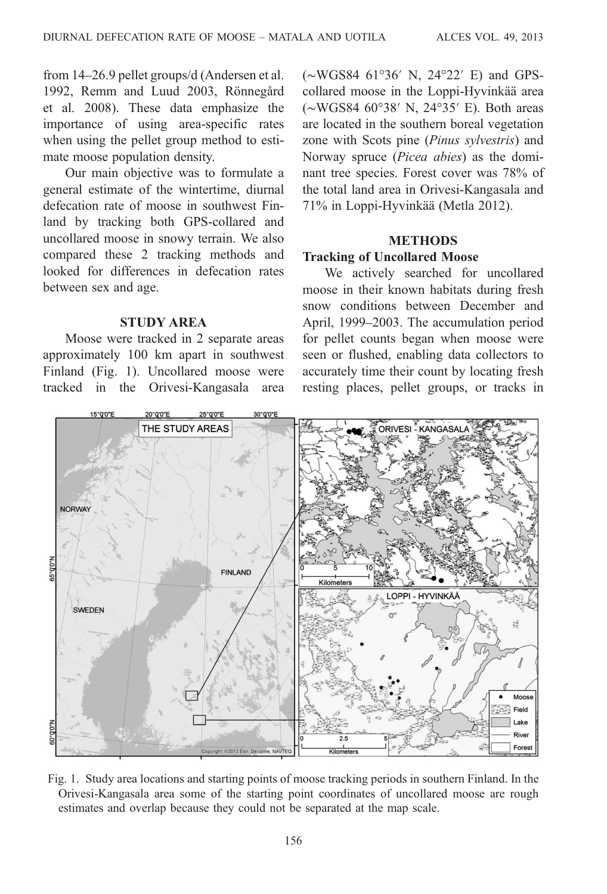<span id="page-1-0"></span>from 14–26.9 pellet groups/d (Andersen et al. 1992, Remm and Luud 2003, Rönnegård et al. 2008). These data emphasize the importance of using area-specific rates when using the pellet group method to estimate moose population density.

Our main objective was to formulate a general estimate of the wintertime, diurnal defecation rate of moose in southwest Finland by tracking both GPS-collared and uncollared moose in snowy terrain. We also compared these 2 tracking methods and looked for differences in defecation rates between sex and age.

## STUDY AREA

Moose were tracked in 2 separate areas approximately 100 km apart in southwest Finland (Fig. 1). Uncollared moose were tracked in the Orivesi-Kangasala area (∼WGS84 61°36′ N, 24°22′ E) and GPScollared moose in the Loppi-Hyvinkää area (∼WGS84 60°38′ N, 24°35′ E). Both areas are located in the souther[n boreal veg](#page-5-0)etation zone with Scots pine (Pinus sylvestris) and Norway spruce (Picea abies) as the dominant tree species. Forest cover was 78% of the total land area in Orivesi-Kangasala and 71% in Loppi-Hyvinkää (Metla 2012).

# METHODS

# Tracking of Uncollared Moose

We actively searched for uncollared moose in their known habitats during fresh snow conditions between December and April, 1999–2003. The accumulation period for pellet counts began when moose were seen or flushed, enabling data collectors to accurately time their count by locating fresh resting places, pellet groups, or tracks in



Fig. 1. Study area locations and starting points of moose tracking periods in southern Finland. In the Orivesi-Kangasala area some of the starting point coordinates of uncollared moose are rough estimates and overlap because they could not be separated at the map scale.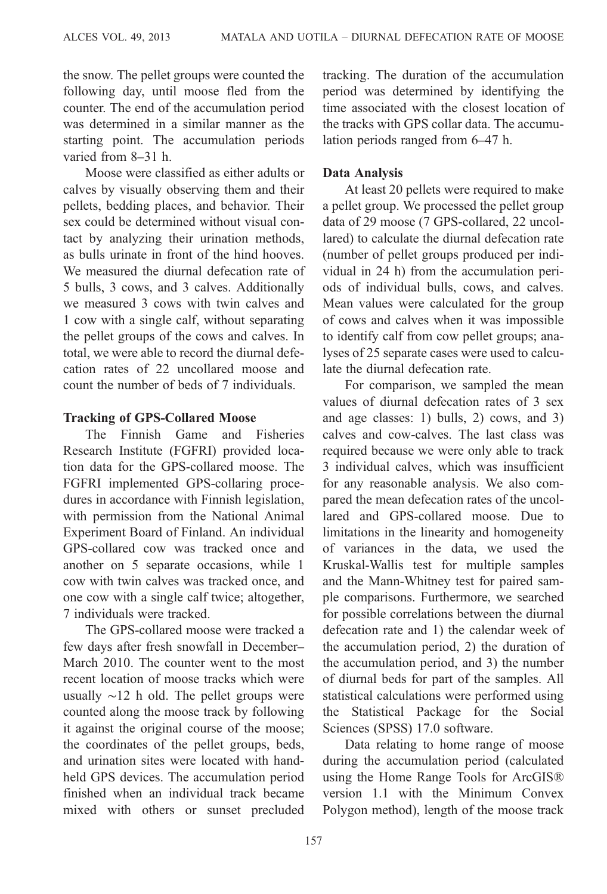the snow. The pellet groups were counted the following day, until moose fled from the counter. The end of the accumulation period was determined in a similar manner as the starting point. The accumulation periods varied from 8–31 h.

Moose were classified as either adults or calves by visually observing them and their pellets, bedding places, and behavior. Their sex could be determined without visual contact by analyzing their urination methods, as bulls urinate in front of the hind hooves. We measured the diurnal defecation rate of 5 bulls, 3 cows, and 3 calves. Additionally we measured 3 cows with twin calves and 1 cow with a single calf, without separating the pellet groups of the cows and calves. In total, we were able to record the diurnal defecation rates of 22 uncollared moose and count the number of beds of 7 individuals.

### Tracking of GPS-Collared Moose

The Finnish Game and Fisheries Research Institute (FGFRI) provided location data for the GPS-collared moose. The FGFRI implemented GPS-collaring procedures in accordance with Finnish legislation, with permission from the National Animal Experiment Board of Finland. An individual GPS-collared cow was tracked once and another on 5 separate occasions, while 1 cow with twin calves was tracked once, and one cow with a single calf twice; altogether, 7 individuals were tracked.

The GPS-collared moose were tracked a few days after fresh snowfall in December– March 2010. The counter went to the most recent location of moose tracks which were usually ∼12 h old. The pellet groups were counted along the moose track by following it against the original course of the moose; the coordinates of the pellet groups, beds, and urination sites were located with handheld GPS devices. The accumulation period finished when an individual track became mixed with others or sunset precluded tracking. The duration of the accumulation period was determined by identifying the time associated with the closest location of the tracks with GPS collar data. The accumulation periods ranged from 6–47 h.

## Data Analysis

At least 20 pellets were required to make a pellet group. We processed the pellet group data of 29 moose (7 GPS-collared, 22 uncollared) to calculate the diurnal defecation rate (number of pellet groups produced per individual in 24 h) from the accumulation periods of individual bulls, cows, and calves. Mean values were calculated for the group of cows and calves when it was impossible to identify calf from cow pellet groups; analyses of 25 separate cases were used to calculate the diurnal defecation rate.

For comparison, we sampled the mean values of diurnal defecation rates of 3 sex and age classes: 1) bulls, 2) cows, and 3) calves and cow-calves. The last class was required because we were only able to track 3 individual calves, which was insufficient for any reasonable analysis. We also compared the mean defecation rates of the uncollared and GPS-collared moose. Due to limitations in the linearity and homogeneity of variances in the data, we used the Kruskal-Wallis test for multiple samples and the Mann-Whitney test for paired sample comparisons. Furthermore, we searched for possible correlations between the diurnal defecation rate and 1) the calendar week of the accumulation period, 2) the duration of the accumulation period, and 3) the number of diurnal beds for part of the samples. All statistical calculations were performed using the Statistical Package for the Social Sciences (SPSS) 17.0 software.

Data relating to home range of moose during the accumulation period (calculated using the Home Range Tools for ArcGIS® version 1.1 with the Minimum Convex Polygon method), length of the moose track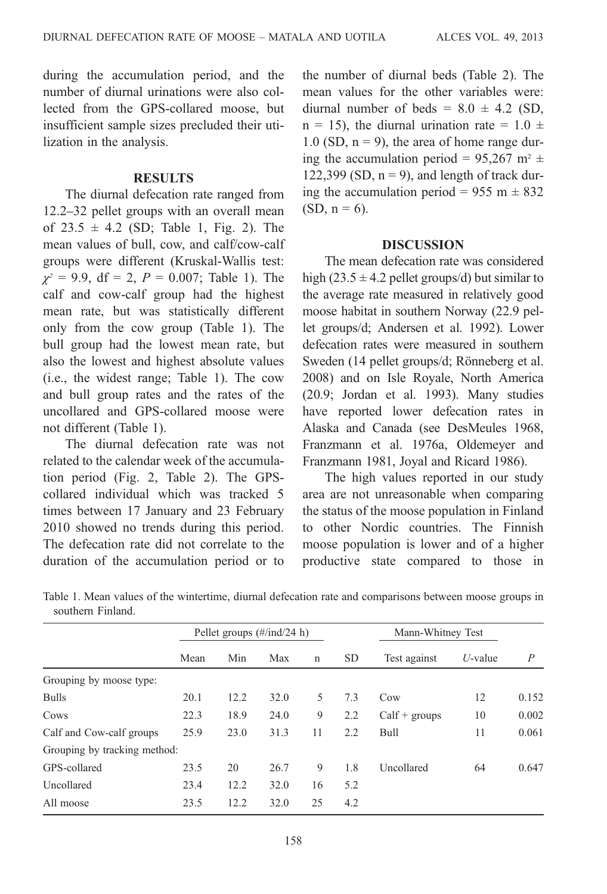during the accumulation period, and the number of diurnal urinations were also collected from the GPS-collared moose, but insufficient sample sizes precluded their utilization in the analysis.

#### **RESULTS**

The diurnal defecation rate ranged from 12.2–32 pellet groups with an overall mean of  $23.5 \pm 4.2$  (SD; Table 1, Fig. 2). The mean values of bull, cow, and calf/cow-calf groups were different (Kruskal-Wallis test:  $\chi^2 = 9.9$ , df = 2, P = 0.007; Table 1). The calf and cow-calf group had the highest mean rate, but was statistically different only from the cow group (Table 1). The bull group had the lowest mean rate, but also the lowest and highest absolute values (i.e., the widest range; Table 1). The cow and bull gro[up rate](#page-4-0)s [and the](#page-4-0) rates of the uncollared and GPS-collared moose were not different (Table 1).

The diurnal defecation rate was not related to the calendar week of the accumulation period (Fig. 2, Table 2). The GPScollared individual which was tracked 5 times between 17 January and 23 February 2010 showed no trends during this period. The defecation rate did not correlate to the duration of the accumulation period or to

the number of diurnal beds (Table 2). The mean values for the other variables were: diurnal number of beds =  $8.0 \pm 4.2$  (SD,  $n = 15$ ), the diurnal urination rate = 1.0  $\pm$ 1.0 (SD,  $n = 9$ ), the area of home range during the accumulation period =  $95,267$  m<sup>2</sup>  $\pm$ 122,399 (SD,  $n = 9$ ), and length of track during the accumulation period =  $955 \text{ m} \pm 832$  $(SD, n = 6)$ .

### **[DISCUSSION](#page-5-0)**

The mean defecation rate was considered high (23.5  $\pm$  4.2 pellet group[s/d\) but similar to](#page-6-0) [the a](#page-6-0)verage rate measured in relatively good moose [habitat in southern N](#page-5-0)orway (22.9 pellet groups/d; Andersen et al. 1992). Lower defecation rates were mea[sured in southern](#page-5-0) [Sweden \(14 pellet groups/d](#page-5-0); [Rönneberg et al.](#page-5-0) [2008\) and on Isle Royale, North Ame](#page-5-0)rica (20.9; Jordan et al. 1993). Many studies have reported lower defecation rates in Alaska and Canada (see DesMeules 1968, Franzmann et al. 1976a, Oldemeyer and Franzmann 1981, Joyal and Ricard 1986).

The high values reported in our study area are not unreasonable when comparing the status of the moose population in Finland to other Nordic countries. The Finnish moose population is lower and of a higher productive state compared to those in

Table 1. Mean values of the wintertime, diurnal defecation rate and comparisons between moose groups in southern Finland.

|                              | Pellet groups $(\#/ind/24 \ h)$ |      |      |             |     | Mann-Whitney Test |            |                |
|------------------------------|---------------------------------|------|------|-------------|-----|-------------------|------------|----------------|
|                              | Mean                            | Min  | Max  | $\mathbf n$ | SD. | Test against      | $U$ -value | $\overline{P}$ |
| Grouping by moose type:      |                                 |      |      |             |     |                   |            |                |
| <b>Bulls</b>                 | 20.1                            | 12.2 | 32.0 | 5           | 7.3 | Cow               | 12         | 0.152          |
| Cows                         | 22.3                            | 18.9 | 24.0 | 9           | 2.2 | $Calf + groups$   | 10         | 0.002          |
| Calf and Cow-calf groups     | 25.9                            | 23.0 | 31.3 | 11          | 2.2 | Bull              | 11         | 0.061          |
| Grouping by tracking method: |                                 |      |      |             |     |                   |            |                |
| GPS-collared                 | 23.5                            | 20   | 26.7 | 9           | 1.8 | Uncollared        | 64         | 0.647          |
| Uncollared                   | 23.4                            | 12.2 | 32.0 | 16          | 5.2 |                   |            |                |
| All moose                    | 23.5                            | 12.2 | 32.0 | 25          | 4.2 |                   |            |                |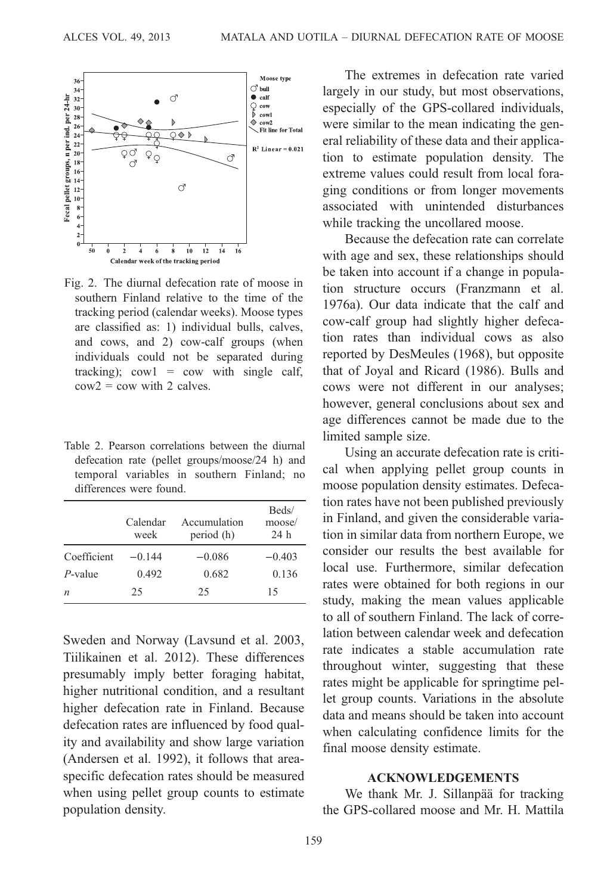<span id="page-4-0"></span>

Fig. 2. The diurnal defecation rate of moose in southern Finland relative to the time of the tracking period (calendar weeks). Moose types are classified as: 1) individual bulls, calves, and cows, and 2) cow-calf groups (when individuals could not be separated during tracking); cow $1 = \text{cow}$  with single calf,  $c$ ow $2 = \text{cow with } 2 \text{ calves.}$ 

Table 2. Pearson correlations between the diurnal defecation rate (pellet groups/moose/24 h) and temporal variables in southern Finland; no differences were found.

|             | Calendar<br>week | Accumulation<br>period (h) | Beds/<br>moose/<br>24h |
|-------------|------------------|----------------------------|------------------------|
| Coefficient | $-0.144$         | $-0.086$                   | $-0.403$               |
| $P$ -value  | 0.492            | 0.682                      | 0.136                  |
| n           | 25               | 25                         | 15                     |

Sweden and Norway (Lavsund et al. 2003, Tiilikainen et al. 2012). These differences [presumably imply be](#page-5-0)tter foraging habitat, higher nutritional condition, and a resultant higher defecation rate in Finland. Because defecation rates are influenced by food quality and availability and show large variation (Andersen et al. 1992), it follows that areaspecific defecation rates should be measured when using pellet group counts to estimate population density.

The extremes in defecation rate varied largely in our study, but most observations, especially of the GPS-collared individuals, were similar to the mean indicating the general reliability of these data and their application to estimate population density. The extreme values could result from local foraging conditions or from longer movements associated with uninte[nded disturbances](#page-5-0) [while](#page-5-0) tracking the uncollared moose.

Because the defecation rate can correlate with age and sex, these relationships should be taken int[o account if a chan](#page-5-0)ge in population st[ructure occurs \(Franzm](#page-5-0)ann et al. 1976a). Our data indicate that the calf and cow-calf group had slightly higher defecation rates than individual cows as also reported by DesMeules (1968), but opposite that of Joyal and Ricard (1986). Bulls and cows were not different in our analyses; however, general conclusions about sex and age differences cannot be made due to the limited sample size.

Using an accurate defecation rate is critical when applying pellet group counts in moose population density estimates. Defecation rates have not been published previously in Finland, and given the considerable variation in similar data from northern Europe, we consider our results the best available for local use. Furthermore, similar defecation rates were obtained for both regions in our study, making the mean values applicable to all of southern Finland. The lack of correlation between calendar week and defecation rate indicates a stable accumulation rate throughout winter, suggesting that these rates might be applicable for springtime pellet group counts. Variations in the absolute data and means should be taken into account when calculating confidence limits for the final moose density estimate.

## ACKNOWLEDGEMENTS

We thank Mr. J. Sillanpää for tracking the GPS-collared moose and Mr. H. Mattila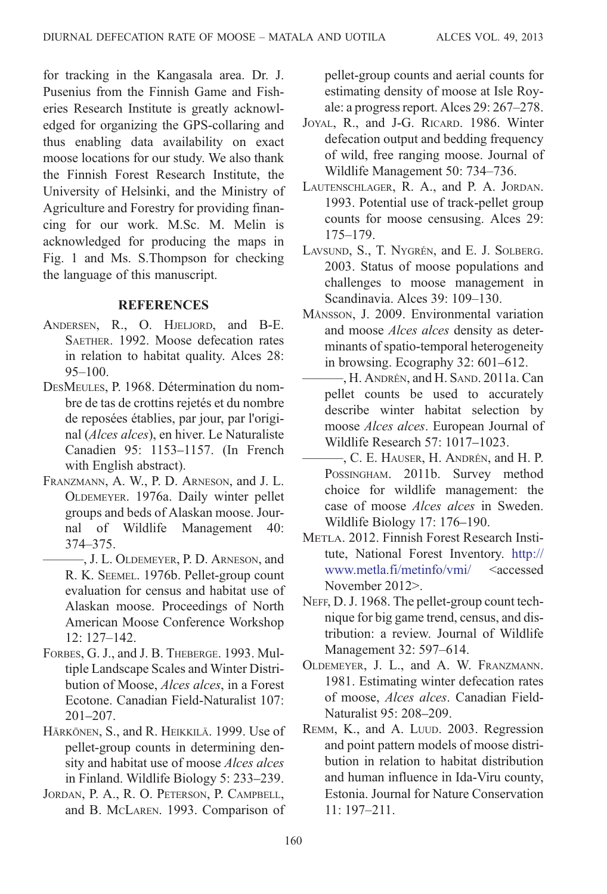<span id="page-5-0"></span>for tracking in the Kangasala area. Dr. J. Pusenius from the Finnish Game and Fisheries Research Institute is greatly acknowledged for organizing the GPS-collaring and thus enabling data availability on exact moose locations for our study. We also thank [the Fi](#page-1-0)nnish Forest Research Institute, the University of Helsinki, and the Ministry of Agriculture and Forestry for providing financing for our work. M.Sc. M. Melin is acknowledged for producing the maps in Fig. 1 and Ms. S.Thompson for checking the language of this manuscript.

# **REFERENCES**

- ANDERSEN, R., O. HJELJORD, and B-E. SAETHER. 1992. Moose defecation rates in relation to habitat quality. Alces 28: 95–100.
- DESMEULES, P. 1968. Détermination du nombre de tas de crottins rejetés et du nombre de reposées établies, par jour, par l'original (Alces alces), en hiver. Le Naturaliste Canadien 95: 1153–1157. (In French with English abstract).
- FRANZMANN, A. W., P. D. ARNESON, and J. L. OLDEMEYER. 1976a. Daily winter pellet groups and beds of Alaskan moose. Journal of Wildlife Management 40: 374–375.
	- ———, J. L. OLDEMEYER, P. D. ARNESON, and R. K. SEEMEL. 1976b. Pellet-group count evaluation for census and habitat use of Alaskan moose. Proceedings of North American Moose Conference Workshop 12: 127–142.
- FORBES, G. J., and J. B. THEBERGE. 1993. Multiple Landscape Scales and Winter Distribution of Moose, *Alces alces*, in a Forest Ecotone. Canadian Field-Naturalist 107: 201–207.
- HÄRKÖNEN, S., and R. HEIKKILÄ. 1999. Use of pellet-group counts in determining density and habitat use of moose Alces alces in Finland. Wildlife Biology 5: 233–239.
- JORDAN, P. A., R. O. PETERSON, P. CAMPBELL, and B. MCLAREN. 1993. Comparison of

pellet-group counts and aerial counts for estimating density of moose at Isle Royale: a progress report. Alces 29: 267–278.

- JOYAL, R., and J-G. RICARD. 1986. Winter defecation output and bedding frequency of wild, free ranging moose. Journal of Wildlife Management 50: 734–736.
- LAUTENSCHLAGER, R. A., and P. A. JORDAN. 1993. Potential use of track-pellet group counts for moose censusing. Alces 29: 175–179.
- LAVSUND, S., T. NYGRÉN, and E. J. SOLBERG. 2003. Status of moose populations and challenges to moose management in Scandinavia. Alces 39: 109–130.
- MÅNSSON, J. 2009. Environmental variation and moose Alces alces density as determinants of spatio-temporal heterogeneity in browsing. Ecography 32: 601–612.
	- ———, H. ANDRÉN, and H. SAND. 2011a. Can pellet counts be used to accurately describe winter habitat selection by moose Alces alces. European Journal of Wildlife Research 57: 1017–1023.
	- ———, C. E. HAUSER, H. ANDRÉN, and H. P. POSSINGHAM. 2011b. Survey [method](http://www.metla.fi/metinfo/vmi/) [choice](http://www.metla.fi/metinfo/vmi/) [for](http://www.metla.fi/metinfo/vmi/) [wildlife](http://www.metla.fi/metinfo/vmi/) [mana](http://www.metla.fi/metinfo/vmi/)gement: the case of moose Alces alces in Sweden. Wildlife Biology 17: 176–190.
- METLA. 2012. Finnish Forest Research Institute, National Forest Inventory. http:// www.metla.fi/metinfo/vmi/ <accessed November 2012>.
- NEFF, D. J. 1968. The pellet-group count technique for big game trend, census, and distribution: a review. Journal of Wildlife Management 32: 597–614.
- OLDEMEYER, J. L., and A. W. FRANZMANN. 1981. Estimating winter defecation rates of moose, Alces alces. Canadian Field-Naturalist 95: 208–209.
- REMM, K., and A. LUUD. 2003. Regression and point pattern models of moose distribution in relation to habitat distribution and human influence in Ida-Viru county, Estonia. Journal for Nature Conservation 11: 197–211.